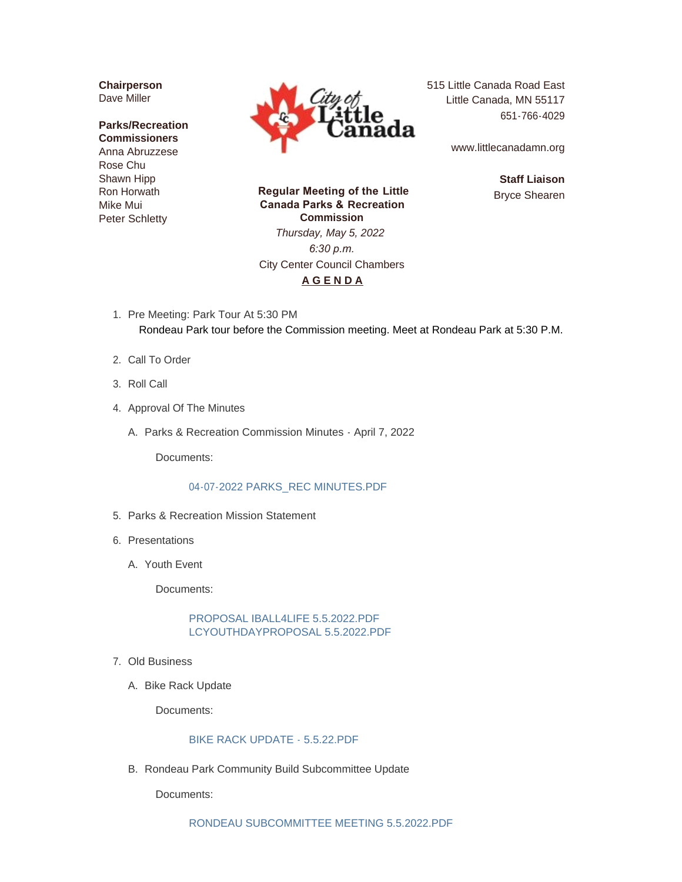**Chairperson** Dave Miller

### **Parks/Recreation Commissioners** Anna Abruzzese Rose Chu Shawn Hipp Ron Horwath Mike Mui Peter Schletty



515 Little Canada Road East Little Canada, MN 55117 651-766-4029

www.littlecanadamn.org

**Staff Liaison** Bryce Shearen

 **Regular Meeting of the Little Canada Parks & Recreation Commission** *Thursday, May 5, 2022 6:30 p.m.* City Center Council Chambers

**A G E N D A**

- 1. Pre Meeting: Park Tour At 5:30 PM Rondeau Park tour before the Commission meeting. Meet at Rondeau Park at 5:30 P.M.
- 2. Call To Order
- 3. Roll Call
- 4. Approval Of The Minutes
	- A. Parks & Recreation Commission Minutes April 7, 2022

Documents:

#### [04-07-2022 PARKS\\_REC MINUTES.PDF](http://www.littlecanadamn.org/AgendaCenter/ViewFile/Item/3945?fileID=3688)

- 5. Parks & Recreation Mission Statement
- 6. Presentations
	- Youth Event A.

Documents:

# [PROPOSAL IBALL4LIFE 5.5.2022.PDF](http://www.littlecanadamn.org/AgendaCenter/ViewFile/Item/3991?fileID=3748) [LCYOUTHDAYPROPOSAL 5.5.2022.PDF](http://www.littlecanadamn.org/AgendaCenter/ViewFile/Item/3991?fileID=3749)

- Old Business 7.
	- A. Bike Rack Update

Documents:

#### [BIKE RACK UPDATE - 5.5.22.PDF](http://www.littlecanadamn.org/AgendaCenter/ViewFile/Item/3992?fileID=3750)

B. Rondeau Park Community Build Subcommittee Update

Documents: